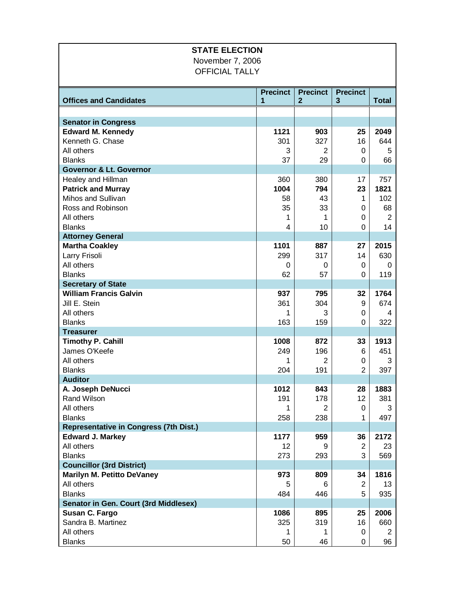| <b>STATE ELECTION</b>                         |                 |                 |                 |                |  |  |  |
|-----------------------------------------------|-----------------|-----------------|-----------------|----------------|--|--|--|
| November 7, 2006                              |                 |                 |                 |                |  |  |  |
| <b>OFFICIAL TALLY</b>                         |                 |                 |                 |                |  |  |  |
|                                               |                 |                 |                 |                |  |  |  |
|                                               | <b>Precinct</b> | <b>Precinct</b> | <b>Precinct</b> |                |  |  |  |
| <b>Offices and Candidates</b>                 | 1               | $\mathbf{2}$    | $\mathbf{3}$    | <b>Total</b>   |  |  |  |
|                                               |                 |                 |                 |                |  |  |  |
| <b>Senator in Congress</b>                    |                 |                 |                 |                |  |  |  |
| <b>Edward M. Kennedy</b>                      | 1121            | 903             | 25              | 2049           |  |  |  |
| Kenneth G. Chase                              | 301             | 327             | 16              | 644            |  |  |  |
| All others                                    | 3               | $\overline{2}$  | 0               | 5              |  |  |  |
| <b>Blanks</b>                                 | 37              | 29              | 0               | 66             |  |  |  |
| <b>Governor &amp; Lt. Governor</b>            |                 |                 |                 |                |  |  |  |
| Healey and Hillman                            | 360             | 380             | 17              | 757            |  |  |  |
| <b>Patrick and Murray</b>                     | 1004            | 794             | 23              | 1821           |  |  |  |
| Mihos and Sullivan                            | 58              | 43              | 1               | 102            |  |  |  |
| Ross and Robinson                             | 35              | 33              | 0               | 68             |  |  |  |
| All others                                    | 1               | 1               | 0               | $\overline{2}$ |  |  |  |
| <b>Blanks</b>                                 | 4               | 10              | 0               | 14             |  |  |  |
| <b>Attorney General</b>                       |                 |                 |                 |                |  |  |  |
| <b>Martha Coakley</b>                         | 1101            | 887             | 27              | 2015           |  |  |  |
| Larry Frisoli                                 | 299             | 317             | 14              | 630            |  |  |  |
| All others                                    | 0               | 0               | 0               | 0              |  |  |  |
| <b>Blanks</b>                                 | 62              | 57              | 0               | 119            |  |  |  |
| <b>Secretary of State</b>                     |                 |                 |                 |                |  |  |  |
| <b>William Francis Galvin</b>                 | 937             | 795             | 32              | 1764           |  |  |  |
| Jill E. Stein                                 | 361             | 304             | 9               | 674            |  |  |  |
| All others<br><b>Blanks</b>                   | 1<br>163        | 3<br>159        | 0<br>0          | 4<br>322       |  |  |  |
| <b>Treasurer</b>                              |                 |                 |                 |                |  |  |  |
| <b>Timothy P. Cahill</b>                      | 1008            | 872             | 33              | 1913           |  |  |  |
| James O'Keefe                                 | 249             | 196             | 6               | 451            |  |  |  |
| All others                                    | 1               | $\overline{2}$  | 0               | 3              |  |  |  |
| <b>Blanks</b>                                 | 204             | 191             | 2               | 397            |  |  |  |
| <b>Auditor</b>                                |                 |                 |                 |                |  |  |  |
| A. Joseph DeNucci                             | 1012            | 843             | 28              | 1883           |  |  |  |
| Rand Wilson                                   | 191             | 178             | 12              | 381            |  |  |  |
| All others                                    | 1               | 2               | 0               | 3              |  |  |  |
| <b>Blanks</b>                                 | 258             | 238             | 1               | 497            |  |  |  |
| <b>Representative in Congress (7th Dist.)</b> |                 |                 |                 |                |  |  |  |
| <b>Edward J. Markey</b>                       | 1177            | 959             | 36              | 2172           |  |  |  |
| All others                                    | 12              | 9               | 2               | 23             |  |  |  |
| <b>Blanks</b>                                 | 273             | 293             | 3               | 569            |  |  |  |
| <b>Councillor (3rd District)</b>              |                 |                 |                 |                |  |  |  |
| <b>Marilyn M. Petitto DeVaney</b>             | 973             | 809             | 34              | 1816           |  |  |  |
| All others                                    | 5               | 6               | 2               | 13             |  |  |  |
| <b>Blanks</b>                                 | 484             | 446             | 5               | 935            |  |  |  |
| Senator in Gen. Court (3rd Middlesex)         |                 |                 |                 |                |  |  |  |
| Susan C. Fargo                                | 1086            | 895             | 25              | 2006           |  |  |  |
| Sandra B. Martinez                            | 325             | 319             | 16              | 660            |  |  |  |
| All others                                    | 1               | 1               | 0               | 2              |  |  |  |
| <b>Blanks</b>                                 | 50              | 46              | 0               | 96             |  |  |  |